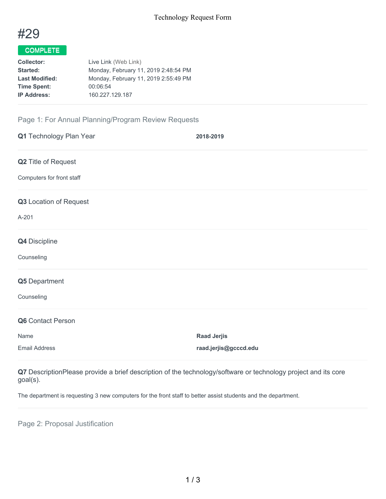

## COMPLETE

| <b>Collector:</b>     | Live Link (Web Link)                 |
|-----------------------|--------------------------------------|
| <b>Started:</b>       | Monday, February 11, 2019 2:48:54 PM |
| <b>Last Modified:</b> | Monday, February 11, 2019 2:55:49 PM |
| <b>Time Spent:</b>    | 00:06:54                             |
| <b>IP Address:</b>    | 160.227.129.187                      |
|                       |                                      |

## Page 1: For Annual Planning/Program Review Requests

| Q1 Technology Plan Year   | 2018-2019             |
|---------------------------|-----------------------|
| Q2 Title of Request       |                       |
| Computers for front staff |                       |
| Q3 Location of Request    |                       |
| A-201                     |                       |
| Q4 Discipline             |                       |
| Counseling                |                       |
| Q5 Department             |                       |
| Counseling                |                       |
| Q6 Contact Person         |                       |
| Name                      | <b>Raad Jerjis</b>    |
| <b>Email Address</b>      | raad.jerjis@gcccd.edu |

**Q7** DescriptionPlease provide a brief description of the technology/software or technology project and its core goal(s).

The department is requesting 3 new computers for the front staff to better assist students and the department.

Page 2: Proposal Justification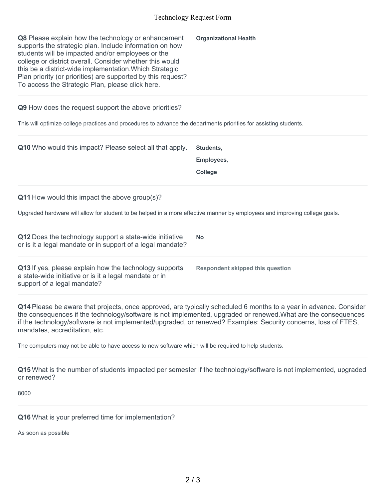## Technology Request Form

| Q8 Please explain how the technology or enhancement<br>supports the strategic plan. Include information on how<br>students will be impacted and/or employees or the<br>college or district overall. Consider whether this would<br>this be a district-wide implementation. Which Strategic<br>Plan priority (or priorities) are supported by this request?<br>To access the Strategic Plan, please click here. | <b>Organizational Health</b>              |  |
|----------------------------------------------------------------------------------------------------------------------------------------------------------------------------------------------------------------------------------------------------------------------------------------------------------------------------------------------------------------------------------------------------------------|-------------------------------------------|--|
| Q9 How does the request support the above priorities?                                                                                                                                                                                                                                                                                                                                                          |                                           |  |
| This will optimize college practices and procedures to advance the departments priorities for assisting students.                                                                                                                                                                                                                                                                                              |                                           |  |
| Q10 Who would this impact? Please select all that apply.                                                                                                                                                                                                                                                                                                                                                       | Students,<br>Employees,<br><b>College</b> |  |
| Q11 How would this impact the above group(s)?                                                                                                                                                                                                                                                                                                                                                                  |                                           |  |
| Upgraded hardware will allow for student to be helped in a more effective manner by employees and improving college goals.                                                                                                                                                                                                                                                                                     |                                           |  |
| Q12 Does the technology support a state-wide initiative<br>or is it a legal mandate or in support of a legal mandate?                                                                                                                                                                                                                                                                                          | <b>No</b>                                 |  |
| Q13 If yes, please explain how the technology supports<br>a state-wide initiative or is it a legal mandate or in<br>support of a legal mandate?                                                                                                                                                                                                                                                                | <b>Respondent skipped this question</b>   |  |
| Q14 Please be aware that projects, once approved, are typically scheduled 6 months to a year in advance. Consider<br>the consequences if the technology/software is not implemented, upgraded or renewed. What are the consequences<br>if the technology/software is not implemented/upgraded, or renewed? Examples: Security concerns, loss of FTES,<br>mandates, accreditation, etc.                         |                                           |  |
| The computers may not be able to have access to new software which will be required to help students.                                                                                                                                                                                                                                                                                                          |                                           |  |
| Q15 What is the number of students impacted per semester if the technology/software is not implemented, upgraded<br>or renewed?                                                                                                                                                                                                                                                                                |                                           |  |
| 8000                                                                                                                                                                                                                                                                                                                                                                                                           |                                           |  |
| Q16 What is your preferred time for implementation?<br>As soon as possible                                                                                                                                                                                                                                                                                                                                     |                                           |  |